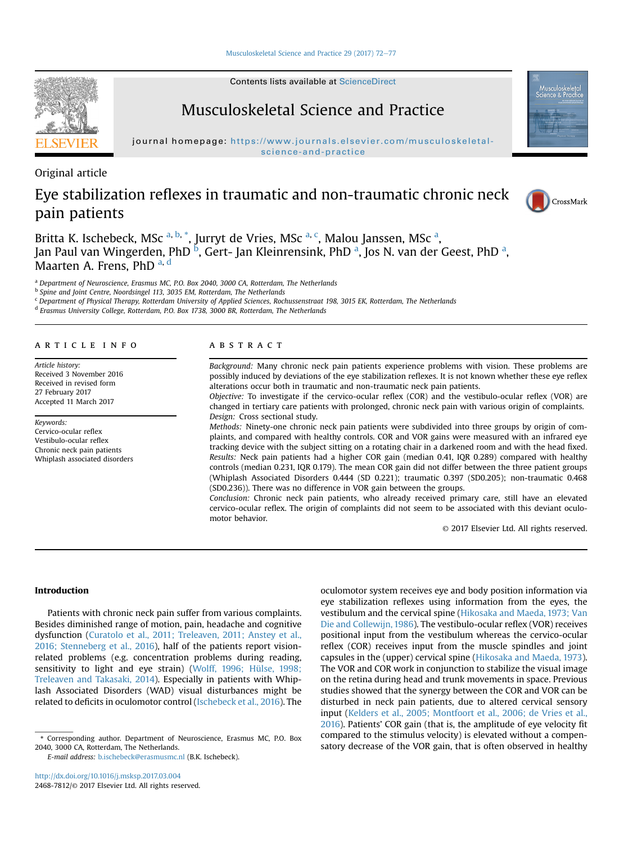[Musculoskeletal Science and Practice 29 \(2017\) 72](http://dx.doi.org/10.1016/j.msksp.2017.03.004)-[77](http://dx.doi.org/10.1016/j.msksp.2017.03.004)

Contents lists available at [ScienceDirect](www.sciencedirect.com/science/journal/24687812)

## Musculoskeletal Science and Practice

journal homepage: [https://www.journals.elsevier.com/musculoskeletal](http://www.journals.elsevier.com/musculoskeletal-science-and-practice)[science-and-practice](http://www.journals.elsevier.com/musculoskeletal-science-and-practice)

Original article

# Eye stabilization reflexes in traumatic and non-traumatic chronic neck pain patients

Britta K. Ischebeck, MSc <sup>a, b, \*</sup>, Jurryt de Vries, MSc <sup>a, c</sup>, Malou Janssen, MSc <sup>a</sup>, Jan Paul van Wingerden, PhD <sup>b</sup>, Gert- Jan Kleinrensink, PhD <sup>a</sup>, Jos N. van der Geest, PhD <sup>a</sup>, Maarten A. Frens, PhD  $a, d$ 

<sup>a</sup> Department of Neuroscience, Erasmus MC, P.O. Box 2040, 3000 CA, Rotterdam, The Netherlands

<sup>b</sup> Spine and Joint Centre, Noordsingel 113, 3035 EM, Rotterdam, The Netherlands

 $c$  Department of Physical Therapy, Rotterdam University of Applied Sciences, Rochussenstraat 198, 3015 EK, Rotterdam, The Netherlands <sup>d</sup> Erasmus University College, Rotterdam, P.O. Box 1738, 3000 BR, Rotterdam, The Netherlands

article info

Article history: Received 3 November 2016 Received in revised form 27 February 2017 Accepted 11 March 2017

Keywords: Cervico-ocular reflex Vestibulo-ocular reflex Chronic neck pain patients Whiplash associated disorders

## ABSTRACT

Background: Many chronic neck pain patients experience problems with vision. These problems are possibly induced by deviations of the eye stabilization reflexes. It is not known whether these eye reflex alterations occur both in traumatic and non-traumatic neck pain patients.

Objective: To investigate if the cervico-ocular reflex (COR) and the vestibulo-ocular reflex (VOR) are changed in tertiary care patients with prolonged, chronic neck pain with various origin of complaints. Design: Cross sectional study.

Methods: Ninety-one chronic neck pain patients were subdivided into three groups by origin of complaints, and compared with healthy controls. COR and VOR gains were measured with an infrared eye tracking device with the subject sitting on a rotating chair in a darkened room and with the head fixed. Results: Neck pain patients had a higher COR gain (median 0.41, IQR 0.289) compared with healthy controls (median 0.231, IQR 0.179). The mean COR gain did not differ between the three patient groups (Whiplash Associated Disorders 0.444 (SD 0.221); traumatic 0.397 (SD0.205); non-traumatic 0.468 (SD0.236)). There was no difference in VOR gain between the groups.

Conclusion: Chronic neck pain patients, who already received primary care, still have an elevated cervico-ocular reflex. The origin of complaints did not seem to be associated with this deviant oculomotor behavior.

© 2017 Elsevier Ltd. All rights reserved.

## Introduction

Patients with chronic neck pain suffer from various complaints. Besides diminished range of motion, pain, headache and cognitive dysfunction ([Curatolo et al., 2011; Treleaven, 2011; Anstey et al.,](#page-4-0) [2016; Stenneberg et al., 2016](#page-4-0)), half of the patients report visionrelated problems (e.g. concentration problems during reading, sensitivity to light and eye strain) [\(Wolff, 1996; Hülse, 1998;](#page-5-0) [Treleaven and Takasaki, 2014](#page-5-0)). Especially in patients with Whiplash Associated Disorders (WAD) visual disturbances might be related to deficits in oculomotor control [\(Ischebeck et al., 2016](#page-4-0)). The

2040, 3000 CA, Rotterdam, The Netherlands.

E-mail address: [b.ischebeck@erasmusmc.nl](mailto:b.ischebeck@erasmusmc.nl) (B.K. Ischebeck).

oculomotor system receives eye and body position information via eye stabilization reflexes using information from the eyes, the vestibulum and the cervical spine ([Hikosaka and Maeda, 1973; Van](#page-4-0) [Die and Collewijn, 1986](#page-4-0)). The vestibulo-ocular reflex (VOR) receives positional input from the vestibulum whereas the cervico-ocular reflex (COR) receives input from the muscle spindles and joint capsules in the (upper) cervical spine ([Hikosaka and Maeda, 1973\)](#page-4-0). The VOR and COR work in conjunction to stabilize the visual image on the retina during head and trunk movements in space. Previous studies showed that the synergy between the COR and VOR can be disturbed in neck pain patients, due to altered cervical sensory input ([Kelders et al., 2005; Montfoort et al., 2006; de Vries et al.,](#page-4-0) [2016\)](#page-4-0). Patients' COR gain (that is, the amplitude of eye velocity fit compared to the stimulus velocity) is elevated without a compens Corresponding author. Department of Neuroscience, Erasmus MC, P.O. Box<br>GAO, 3000 CA, Rotterdam, The Netherlands.<br>GAO, 3000 CA, Rotterdam, The Netherlands.





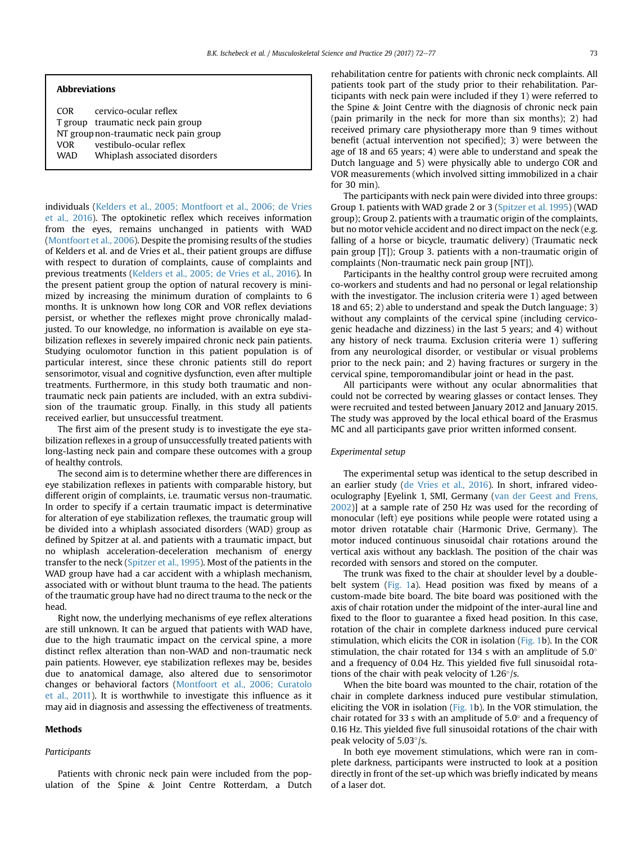### Abbreviations

COR cervico-ocular reflex T group traumatic neck pain group NT groupnon-traumatic neck pain group VOR vestibulo-ocular reflex WAD Whiplash associated disorders

individuals [\(Kelders et al., 2005; Montfoort et al., 2006; de Vries](#page-4-0) [et al., 2016\)](#page-4-0). The optokinetic reflex which receives information from the eyes, remains unchanged in patients with WAD ([Montfoort et al., 2006](#page-5-0)). Despite the promising results of the studies of Kelders et al. and de Vries et al., their patient groups are diffuse with respect to duration of complaints, cause of complaints and previous treatments ([Kelders et al., 2005; de Vries et al., 2016](#page-4-0)). In the present patient group the option of natural recovery is minimized by increasing the minimum duration of complaints to 6 months. It is unknown how long COR and VOR reflex deviations persist, or whether the reflexes might prove chronically maladjusted. To our knowledge, no information is available on eye stabilization reflexes in severely impaired chronic neck pain patients. Studying oculomotor function in this patient population is of particular interest, since these chronic patients still do report sensorimotor, visual and cognitive dysfunction, even after multiple treatments. Furthermore, in this study both traumatic and nontraumatic neck pain patients are included, with an extra subdivision of the traumatic group. Finally, in this study all patients received earlier, but unsuccessful treatment.

The first aim of the present study is to investigate the eye stabilization reflexes in a group of unsuccessfully treated patients with long-lasting neck pain and compare these outcomes with a group of healthy controls.

The second aim is to determine whether there are differences in eye stabilization reflexes in patients with comparable history, but different origin of complaints, i.e. traumatic versus non-traumatic. In order to specify if a certain traumatic impact is determinative for alteration of eye stabilization reflexes, the traumatic group will be divided into a whiplash associated disorders (WAD) group as defined by Spitzer at al. and patients with a traumatic impact, but no whiplash acceleration-deceleration mechanism of energy transfer to the neck [\(Spitzer et al., 1995](#page-5-0)). Most of the patients in the WAD group have had a car accident with a whiplash mechanism, associated with or without blunt trauma to the head. The patients of the traumatic group have had no direct trauma to the neck or the head.

Right now, the underlying mechanisms of eye reflex alterations are still unknown. It can be argued that patients with WAD have, due to the high traumatic impact on the cervical spine, a more distinct reflex alteration than non-WAD and non-traumatic neck pain patients. However, eye stabilization reflexes may be, besides due to anatomical damage, also altered due to sensorimotor changes or behavioral factors ([Montfoort et al., 2006; Curatolo](#page-5-0) [et al., 2011](#page-5-0)). It is worthwhile to investigate this influence as it may aid in diagnosis and assessing the effectiveness of treatments.

## Methods

### Participants

Patients with chronic neck pain were included from the population of the Spine & Joint Centre Rotterdam, a Dutch rehabilitation centre for patients with chronic neck complaints. All patients took part of the study prior to their rehabilitation. Participants with neck pain were included if they 1) were referred to the Spine & Joint Centre with the diagnosis of chronic neck pain (pain primarily in the neck for more than six months); 2) had received primary care physiotherapy more than 9 times without benefit (actual intervention not specified); 3) were between the age of 18 and 65 years; 4) were able to understand and speak the Dutch language and 5) were physically able to undergo COR and VOR measurements (which involved sitting immobilized in a chair for 30 min).

The participants with neck pain were divided into three groups: Group 1. patients with WAD grade 2 or 3 ([Spitzer et al. 1995](#page-5-0)) (WAD group); Group 2. patients with a traumatic origin of the complaints, but no motor vehicle accident and no direct impact on the neck (e.g. falling of a horse or bicycle, traumatic delivery) (Traumatic neck pain group [T]); Group 3. patients with a non-traumatic origin of complaints (Non-traumatic neck pain group [NT]).

Participants in the healthy control group were recruited among co-workers and students and had no personal or legal relationship with the investigator. The inclusion criteria were 1) aged between 18 and 65; 2) able to understand and speak the Dutch language; 3) without any complaints of the cervical spine (including cervicogenic headache and dizziness) in the last 5 years; and 4) without any history of neck trauma. Exclusion criteria were 1) suffering from any neurological disorder, or vestibular or visual problems prior to the neck pain; and 2) having fractures or surgery in the cervical spine, temporomandibular joint or head in the past.

All participants were without any ocular abnormalities that could not be corrected by wearing glasses or contact lenses. They were recruited and tested between January 2012 and January 2015. The study was approved by the local ethical board of the Erasmus MC and all participants gave prior written informed consent.

#### Experimental setup

The experimental setup was identical to the setup described in an earlier study [\(de Vries et al., 2016](#page-5-0)). In short, infrared videooculography [Eyelink 1, SMI, Germany ([van der Geest and Frens,](#page-4-0) [2002\)](#page-4-0)] at a sample rate of 250 Hz was used for the recording of monocular (left) eye positions while people were rotated using a motor driven rotatable chair (Harmonic Drive, Germany). The motor induced continuous sinusoidal chair rotations around the vertical axis without any backlash. The position of the chair was recorded with sensors and stored on the computer.

The trunk was fixed to the chair at shoulder level by a double-belt system ([Fig. 1a](#page-2-0)). Head position was fixed by means of a custom-made bite board. The bite board was positioned with the axis of chair rotation under the midpoint of the inter-aural line and fixed to the floor to guarantee a fixed head position. In this case, rotation of the chair in complete darkness induced pure cervical stimulation, which elicits the COR in isolation [\(Fig. 1b](#page-2-0)). In the COR stimulation, the chair rotated for 134 s with an amplitude of  $5.0^{\circ}$ and a frequency of 0.04 Hz. This yielded five full sinusoidal rotations of the chair with peak velocity of  $1.26^{\circ}/s$ .

When the bite board was mounted to the chair, rotation of the chair in complete darkness induced pure vestibular stimulation, eliciting the VOR in isolation [\(Fig. 1](#page-2-0)b). In the VOR stimulation, the chair rotated for 33 s with an amplitude of  $5.0^{\circ}$  and a frequency of 0.16 Hz. This yielded five full sinusoidal rotations of the chair with peak velocity of  $5.03^{\circ}/s$ .

In both eye movement stimulations, which were ran in complete darkness, participants were instructed to look at a position directly in front of the set-up which was briefly indicated by means of a laser dot.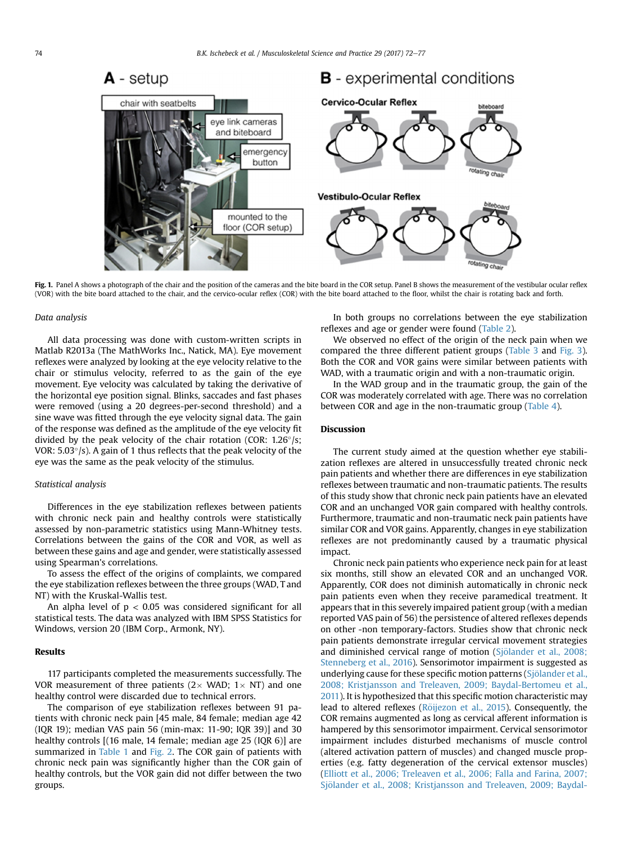<span id="page-2-0"></span>

Fig. 1. Panel A shows a photograph of the chair and the position of the cameras and the bite board in the COR setup. Panel B shows the measurement of the vestibular ocular reflex (VOR) with the bite board attached to the chair, and the cervico-ocular reflex (COR) with the bite board attached to the floor, whilst the chair is rotating back and forth.

#### Data analysis

All data processing was done with custom-written scripts in Matlab R2013a (The MathWorks Inc., Natick, MA). Eye movement reflexes were analyzed by looking at the eye velocity relative to the chair or stimulus velocity, referred to as the gain of the eye movement. Eye velocity was calculated by taking the derivative of the horizontal eye position signal. Blinks, saccades and fast phases were removed (using a 20 degrees-per-second threshold) and a sine wave was fitted through the eye velocity signal data. The gain of the response was defined as the amplitude of the eye velocity fit divided by the peak velocity of the chair rotation (COR:  $1.26^{\circ}/s$ ; VOR:  $5.03^{\circ}/s$ ). A gain of 1 thus reflects that the peak velocity of the eye was the same as the peak velocity of the stimulus.

## Statistical analysis

Differences in the eye stabilization reflexes between patients with chronic neck pain and healthy controls were statistically assessed by non-parametric statistics using Mann-Whitney tests. Correlations between the gains of the COR and VOR, as well as between these gains and age and gender, were statistically assessed using Spearman's correlations.

To assess the effect of the origins of complaints, we compared the eye stabilization reflexes between the three groups (WAD, T and NT) with the Kruskal-Wallis test.

An alpha level of  $p < 0.05$  was considered significant for all statistical tests. The data was analyzed with IBM SPSS Statistics for Windows, version 20 (IBM Corp., Armonk, NY).

## Results

117 participants completed the measurements successfully. The VOR measurement of three patients ( $2 \times$  WAD;  $1 \times$  NT) and one healthy control were discarded due to technical errors.

The comparison of eye stabilization reflexes between 91 patients with chronic neck pain [45 male, 84 female; median age 42 (IQR 19); median VAS pain 56 (min-max: 11-90; IQR 39)] and 30 healthy controls [(16 male, 14 female; median age 25 (IQR 6)] are summarized in [Table 1](#page-3-0) and [Fig. 2](#page-3-0). The COR gain of patients with chronic neck pain was significantly higher than the COR gain of healthy controls, but the VOR gain did not differ between the two groups.

In both groups no correlations between the eye stabilization reflexes and age or gender were found ([Table 2\)](#page-3-0).

We observed no effect of the origin of the neck pain when we compared the three different patient groups [\(Table 3](#page-3-0) and [Fig. 3\)](#page-3-0). Both the COR and VOR gains were similar between patients with WAD, with a traumatic origin and with a non-traumatic origin.

In the WAD group and in the traumatic group, the gain of the COR was moderately correlated with age. There was no correlation between COR and age in the non-traumatic group ([Table 4\)](#page-4-0).

## Discussion

The current study aimed at the question whether eye stabilization reflexes are altered in unsuccessfully treated chronic neck pain patients and whether there are differences in eye stabilization reflexes between traumatic and non-traumatic patients. The results of this study show that chronic neck pain patients have an elevated COR and an unchanged VOR gain compared with healthy controls. Furthermore, traumatic and non-traumatic neck pain patients have similar COR and VOR gains. Apparently, changes in eye stabilization reflexes are not predominantly caused by a traumatic physical impact.

Chronic neck pain patients who experience neck pain for at least six months, still show an elevated COR and an unchanged VOR. Apparently, COR does not diminish automatically in chronic neck pain patients even when they receive paramedical treatment. It appears that in this severely impaired patient group (with a median reported VAS pain of 56) the persistence of altered reflexes depends on other -non temporary-factors. Studies show that chronic neck pain patients demonstrate irregular cervical movement strategies and diminished cervical range of motion (Sjölander et al., 2008; [Stenneberg et al., 2016](#page-5-0)). Sensorimotor impairment is suggested as underlying cause for these specific motion patterns (Sjölander et al., [2008; Kristjansson and Treleaven, 2009; Baydal-Bertomeu et al.,](#page-5-0) [2011\)](#page-5-0). It is hypothesized that this specific motion characteristic may lead to altered reflexes (Röijezon et al., 2015). Consequently, the COR remains augmented as long as cervical afferent information is hampered by this sensorimotor impairment. Cervical sensorimotor impairment includes disturbed mechanisms of muscle control (altered activation pattern of muscles) and changed muscle properties (e.g. fatty degeneration of the cervical extensor muscles) ([Elliott et al., 2006; Treleaven et al., 2006; Falla and Farina, 2007;](#page-4-0) Sjölander et al., 2008; Kristjansson and Treleaven, 2009; Baydal-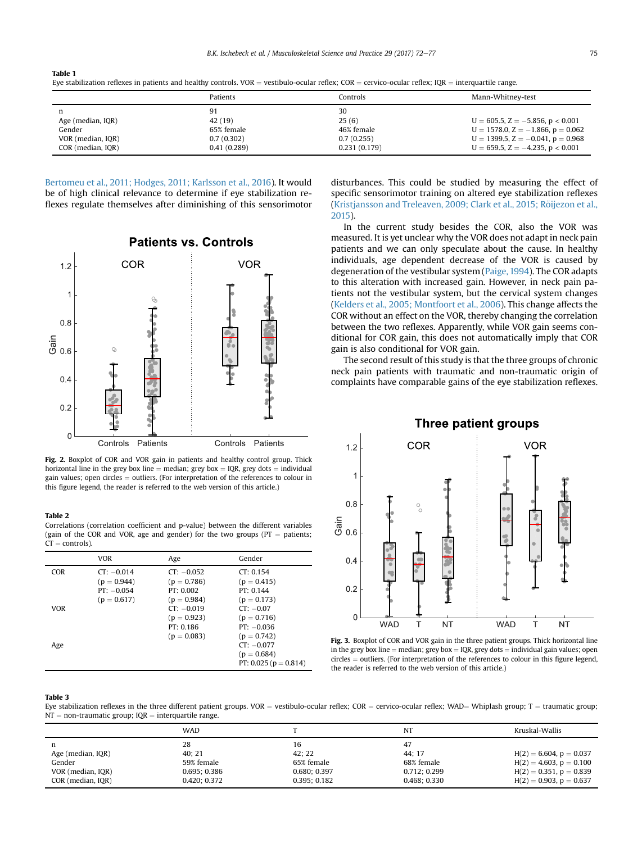## <span id="page-3-0"></span>Table 1

Eye stabilization reflexes in patients and healthy controls. VOR = vestibulo-ocular reflex; COR = cervico-ocular reflex; IQR = interquartile range.

|                   | Patients    | Controls     | Mann-Whitney-test                         |
|-------------------|-------------|--------------|-------------------------------------------|
| n                 | 91          | 30           |                                           |
| Age (median, IQR) | 42 (19)     | 25(6)        | $U = 605.5$ , $Z = -5.856$ , $p < 0.001$  |
| Gender            | 65% female  | 46% female   | $U = 1578.0$ , $Z = -1.866$ , $p = 0.062$ |
| VOR (median, IQR) | 0.7(0.302)  | 0.7(0.255)   | $U = 1399.5$ , $Z = -0.041$ , $p = 0.968$ |
| COR (median, IQR) | 0.41(0.289) | 0.231(0.179) | $U = 659.5$ , $Z = -4.235$ , $p < 0.001$  |

[Bertomeu et al., 2011; Hodges, 2011; Karlsson et al., 2016](#page-4-0)). It would be of high clinical relevance to determine if eye stabilization reflexes regulate themselves after diminishing of this sensorimotor



Fig. 2. Boxplot of COR and VOR gain in patients and healthy control group. Thick horizontal line in the grey box line = median; grey box = IQR, grey dots = individual gain values; open circles  $=$  outliers. (For interpretation of the references to colour in this figure legend, the reader is referred to the web version of this article.)

#### Table 2

Correlations (correlation coefficient and p-value) between the different variables (gain of the COR and VOR, age and gender) for the two groups ( $PT =$  patients;  $CT = controls$ ).

|            | <b>VOR</b>                                                     | Age                                                         | Gender                                                        |
|------------|----------------------------------------------------------------|-------------------------------------------------------------|---------------------------------------------------------------|
| <b>COR</b> | $CT: -0.014$<br>$(p = 0.944)$<br>$PT: -0.054$<br>$(p = 0.617)$ | $CT: -0.052$<br>$(p = 0.786)$<br>PT: 0.002<br>$(p = 0.984)$ | CT: 0.154<br>$(p = 0.415)$<br>PT: 0.144<br>$(p = 0.173)$      |
| <b>VOR</b> |                                                                | $CT: -0.019$<br>$(p = 0.923)$<br>PT: 0.186<br>$(p = 0.083)$ | $CT: -0.07$<br>$(p = 0.716)$<br>$PT: -0.036$<br>$(p = 0.742)$ |
| Age        |                                                                |                                                             | $CT: -0.077$<br>$(p = 0.684)$<br>PT: 0.025 ( $p = 0.814$ )    |

disturbances. This could be studied by measuring the effect of specific sensorimotor training on altered eye stabilization reflexes (Kristjansson and Treleaven, 2009; Clark et al., 2015; Röijezon et al., [2015\)](#page-4-0).

In the current study besides the COR, also the VOR was measured. It is yet unclear why the VOR does not adapt in neck pain patients and we can only speculate about the cause. In healthy individuals, age dependent decrease of the VOR is caused by degeneration of the vestibular system ([Paige, 1994\)](#page-5-0). The COR adapts to this alteration with increased gain. However, in neck pain patients not the vestibular system, but the cervical system changes ([Kelders et al., 2005; Montfoort et al., 2006](#page-4-0)). This change affects the COR without an effect on the VOR, thereby changing the correlation between the two reflexes. Apparently, while VOR gain seems conditional for COR gain, this does not automatically imply that COR gain is also conditional for VOR gain.

The second result of this study is that the three groups of chronic neck pain patients with traumatic and non-traumatic origin of complaints have comparable gains of the eye stabilization reflexes.

## **Three patient groups**



Fig. 3. Boxplot of COR and VOR gain in the three patient groups. Thick horizontal line in the grey box line  $=$  median; grey box  $=$  IQR, grey dots  $=$  individual gain values; open  $circles = outliers$ . (For interpretation of the references to colour in this figure legend, the reader is referred to the web version of this article.)

## Table 3

Eye stabilization reflexes in the three different patient groups. VOR = vestibulo-ocular reflex; COR = cervico-ocular reflex; WAD= Whiplash group; T = traumatic group;  $NT = non-traumatic group; IQR = interquartile range.$ 

|                   | WAD          |             | NT           | Kruskal-Wallis               |
|-------------------|--------------|-------------|--------------|------------------------------|
| n                 | 28           | 16          | 47           |                              |
| Age (median, IQR) | 40:21        | 42: 22      | 44: 17       | $H(2) = 6.604$ , $p = 0.037$ |
| Gender            | 59% female   | 65% female  | 68% female   | $H(2) = 4.603$ , $p = 0.100$ |
| VOR (median, IQR) | 0.695:0.386  | 0.680:0.397 | 0.712; 0.299 | $H(2) = 0.351$ , $p = 0.839$ |
| COR (median, IQR) | 0.420; 0.372 | 0.395:0.182 | 0.468; 0.330 | $H(2) = 0.903$ , $p = 0.637$ |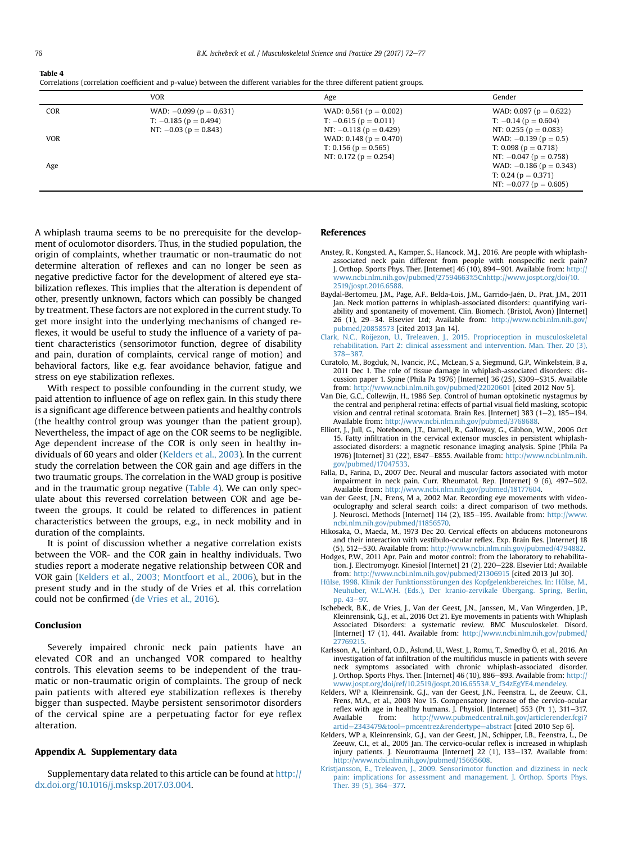#### <span id="page-4-0"></span>Table 4

|            | <b>VOR</b>                                                                                  | Age                                                                                       | Gender                                                                                   |
|------------|---------------------------------------------------------------------------------------------|-------------------------------------------------------------------------------------------|------------------------------------------------------------------------------------------|
| <b>COR</b> | WAD: $-0.099$ ( $p = 0.631$ )<br>$T: -0.185$ ( $p = 0.494$ )<br>NT: $-0.03$ ( $p = 0.843$ ) | WAD: 0.561 ( $p = 0.002$ )<br>$T: -0.615$ ( $p = 0.011$ )<br>NT: $-0.118$ ( $p = 0.429$ ) | WAD: 0.097 ( $p = 0.622$ )<br>$T: -0.14$ ( $p = 0.604$ )<br>NT: 0.255 ( $p = 0.083$ )    |
| <b>VOR</b> |                                                                                             | WAD: 0.148 ( $p = 0.470$ )<br>T: 0.156 ( $p = 0.565$ )<br>NT: 0.172 ( $p = 0.254$ )       | WAD: $-0.139(p = 0.5)$<br>T: 0.098 ( $p = 0.718$ )<br>NT: $-0.047$ ( $p = 0.758$ )       |
| Age        |                                                                                             |                                                                                           | WAD: $-0.186$ ( $p = 0.343$ )<br>T: 0.24 ( $p = 0.371$ )<br>NT: $-0.077$ ( $p = 0.605$ ) |

A whiplash trauma seems to be no prerequisite for the development of oculomotor disorders. Thus, in the studied population, the origin of complaints, whether traumatic or non-traumatic do not determine alteration of reflexes and can no longer be seen as negative predictive factor for the development of altered eye stabilization reflexes. This implies that the alteration is dependent of other, presently unknown, factors which can possibly be changed by treatment. These factors are not explored in the current study. To get more insight into the underlying mechanisms of changed reflexes, it would be useful to study the influence of a variety of patient characteristics (sensorimotor function, degree of disability and pain, duration of complaints, cervical range of motion) and behavioral factors, like e.g. fear avoidance behavior, fatigue and stress on eye stabilization reflexes.

With respect to possible confounding in the current study, we paid attention to influence of age on reflex gain. In this study there is a significant age difference between patients and healthy controls (the healthy control group was younger than the patient group). Nevertheless, the impact of age on the COR seems to be negligible. Age dependent increase of the COR is only seen in healthy individuals of 60 years and older (Kelders et al., 2003). In the current study the correlation between the COR gain and age differs in the two traumatic groups. The correlation in the WAD group is positive and in the traumatic group negative (Table 4). We can only speculate about this reversed correlation between COR and age between the groups. It could be related to differences in patient characteristics between the groups, e.g., in neck mobility and in duration of the complaints.

It is point of discussion whether a negative correlation exists between the VOR- and the COR gain in healthy individuals. Two studies report a moderate negative relationship between COR and VOR gain (Kelders et al., 2003; Montfoort et al., 2006), but in the present study and in the study of de Vries et al. this correlation could not be confirmed [\(de Vries et al., 2016](#page-5-0)).

## Conclusion

Severely impaired chronic neck pain patients have an elevated COR and an unchanged VOR compared to healthy controls. This elevation seems to be independent of the traumatic or non-traumatic origin of complaints. The group of neck pain patients with altered eye stabilization reflexes is thereby bigger than suspected. Maybe persistent sensorimotor disorders of the cervical spine are a perpetuating factor for eye reflex alteration.

## Appendix A. Supplementary data

Supplementary data related to this article can be found at [http://](http://dx.doi.org/10.1016/j.msksp.2017.03.004) [dx.doi.org/10.1016/j.msksp.2017.03.004](http://dx.doi.org/10.1016/j.msksp.2017.03.004).

### References

- Anstey, R., Kongsted, A., Kamper, S., Hancock, M.J., 2016. Are people with whiplashassociated neck pain different from people with nonspecific neck pain? J. Orthop. Sports Phys. Ther. [Internet]  $46(10)$ , 894-901. Available from: [http://](http://www.ncbi.nlm.nih.gov/pubmed/27594663%5Cnhttp://www.jospt.org/doi/10.2519/jospt.2016.6588) [www.ncbi.nlm.nih.gov/pubmed/27594663%5Cnhttp://www.jospt.org/doi/10.](http://www.ncbi.nlm.nih.gov/pubmed/27594663%5Cnhttp://www.jospt.org/doi/10.2519/jospt.2016.6588) [2519/jospt.2016.6588](http://www.ncbi.nlm.nih.gov/pubmed/27594663%5Cnhttp://www.jospt.org/doi/10.2519/jospt.2016.6588).
- Baydal-Bertomeu, J.M., Page, A.F., Belda-Lois, J.M., Garrido-Jaén, D., Prat, J.M., 2011 Jan. Neck motion patterns in whiplash-associated disorders: quantifying variability and spontaneity of movement. Clin. Biomech. (Bristol, Avon) [Internet] 26 (1), 29-34. Elsevier Ltd; Available from: [http://www.ncbi.nlm.nih.gov/](http://www.ncbi.nlm.nih.gov/pubmed/20858573) [pubmed/20858573](http://www.ncbi.nlm.nih.gov/pubmed/20858573) [cited 2013 Jan 14].
- Clark, N.C., Röijezon, U., Treleaven, J., 2015. Proprioception in musculoskeletal [rehabilitation. Part 2: clinical assessment and intervention. Man. Ther. 20 \(3\),](http://refhub.elsevier.com/S2468-7812(17)30055-3/sref3) [378](http://refhub.elsevier.com/S2468-7812(17)30055-3/sref3)-[387.](http://refhub.elsevier.com/S2468-7812(17)30055-3/sref3)
- Curatolo, M., Bogduk, N., Ivancic, P.C., McLean, S a, Siegmund, G.P., Winkelstein, B a, 2011 Dec 1. The role of tissue damage in whiplash-associated disorders: discussion paper 1. Spine (Phila Pa 1976) [Internet] 36 (25), S309-S315. Available from: <http://www.ncbi.nlm.nih.gov/pubmed/22020601> [cited 2012 Nov 5].
- Van Die, G.C., Collewijn, H., 1986 Sep. Control of human optokinetic nystagmus by the central and peripheral retina: effects of partial visual field masking, scotopic vision and central retinal scotomata. Brain Res. [Internet] 383 (1-2), 185-194. Available from: <http://www.ncbi.nlm.nih.gov/pubmed/3768688>.
- Elliott, J., Jull, G., Noteboom, J.T., Darnell, R., Galloway, G., Gibbon, W.W., 2006 Oct 15. Fatty infiltration in the cervical extensor muscles in persistent whiplashassociated disorders: a magnetic resonance imaging analysis. Spine (Phila Pa 1976) [Internet] 31 (22), E847-E855. Available from: [http://www.ncbi.nlm.nih.](http://www.ncbi.nlm.nih.gov/pubmed/17047533) [gov/pubmed/17047533.](http://www.ncbi.nlm.nih.gov/pubmed/17047533)
- Falla, D., Farina, D., 2007 Dec. Neural and muscular factors associated with motor impairment in neck pain. Curr. Rheumatol. Rep. [Internet]  $9(6)$ ,  $497-502$ . Available from: [http://www.ncbi.nlm.nih.gov/pubmed/18177604.](http://www.ncbi.nlm.nih.gov/pubmed/18177604)
- van der Geest, J.N., Frens, M a, 2002 Mar. Recording eye movements with videooculography and scleral search coils: a direct comparison of two methods. J. Neurosci. Methods [Internet] 114 (2), 185-195. Available from: [http://www.](http://www.ncbi.nlm.nih.gov/pubmed/11856570) [ncbi.nlm.nih.gov/pubmed/11856570](http://www.ncbi.nlm.nih.gov/pubmed/11856570).
- Hikosaka, O., Maeda, M., 1973 Dec 20. Cervical effects on abducens motoneurons and their interaction with vestibulo-ocular reflex. Exp. Brain Res. [Internet] 18 (5), 512-530. Available from: [http://www.ncbi.nlm.nih.gov/pubmed/4794882.](http://www.ncbi.nlm.nih.gov/pubmed/4794882)
- Hodges, P.W., 2011 Apr. Pain and motor control: from the laboratory to rehabilitation. J. Electromyogr. Kinesiol [Internet] 21 (2), 220-228. Elsevier Ltd; Available from: <http://www.ncbi.nlm.nih.gov/pubmed/21306915> [cited 2013 Jul 30].
- [Hülse, 1998. Klinik der Funktionsst](http://refhub.elsevier.com/S2468-7812(17)30055-3/sref11)ö[rungen des Kopfgelenkbereiches. In: Hülse, M.,](http://refhub.elsevier.com/S2468-7812(17)30055-3/sref11) [Neuhuber, W.L.W.H. \(Eds.\), Der kranio-zervikale Übergang. Spring, Berlin,](http://refhub.elsevier.com/S2468-7812(17)30055-3/sref11) [pp. 43](http://refhub.elsevier.com/S2468-7812(17)30055-3/sref11)-97
- Ischebeck, B.K., de Vries, J., Van der Geest, J.N., Janssen, M., Van Wingerden, J.P., Kleinrensink, G.J., et al., 2016 Oct 21. Eye movements in patients with Whiplash Associated Disorders: a systematic review. BMC Musculoskelet. Disord. [Internet] 17 (1), 441. Available from: [http://www.ncbi.nlm.nih.gov/pubmed/](http://www.ncbi.nlm.nih.gov/pubmed/27769215) [27769215.](http://www.ncbi.nlm.nih.gov/pubmed/27769215)
- Karlsson, A., Leinhard, O.D., Åslund, U., West, J., Romu, T., Smedby Ö. et al., 2016. An investigation of fat infiltration of the multifidus muscle in patients with severe neck symptoms associated with chronic whiplash-associated disorder. J. Orthop. Sports Phys. Ther. [Internet] 46 (10), 886-893. Available from: [http://](http://www.jospt.org/doi/ref/10.2519/jospt.2016.6553#.V_f34zEgYE4.mendeley) [www.jospt.org/doi/ref/10.2519/jospt.2016.6553#.V\\_f34zEgYE4.mendeley.](http://www.jospt.org/doi/ref/10.2519/jospt.2016.6553#.V_f34zEgYE4.mendeley)
- Kelders, WP a, Kleinrensink, G.J., van der Geest, J.N., Feenstra, L., de Zeeuw, C.I., Frens, M.A., et al., 2003 Nov 15. Compensatory increase of the cervico-ocular reflex with age in healthy humans. J. Physiol. [Internet]  $553$  (Pt 1),  $311-317$ . Available from: [http://www.pubmedcentral.nih.gov/articlerender.fcgi?](http://www.pubmedcentral.nih.gov/articlerender.fcgi?artid=2343479&tool=pmcentrez&rendertype=abstract) [artid](http://www.pubmedcentral.nih.gov/articlerender.fcgi?artid=2343479&tool=pmcentrez&rendertype=abstract)=[2343479](http://www.pubmedcentral.nih.gov/articlerender.fcgi?artid=2343479&tool=pmcentrez&rendertype=abstract)&[tool](http://www.pubmedcentral.nih.gov/articlerender.fcgi?artid=2343479&tool=pmcentrez&rendertype=abstract)=[pmcentrez](http://www.pubmedcentral.nih.gov/articlerender.fcgi?artid=2343479&tool=pmcentrez&rendertype=abstract)&[rendertype](http://www.pubmedcentral.nih.gov/articlerender.fcgi?artid=2343479&tool=pmcentrez&rendertype=abstract)=[abstract](http://www.pubmedcentral.nih.gov/articlerender.fcgi?artid=2343479&tool=pmcentrez&rendertype=abstract) [cited 2010 Sep 6].
- Kelders, WP a, Kleinrensink, G.J., van der Geest, J.N., Schipper, I.B., Feenstra, L., De Zeeuw, C.I., et al., 2005 Jan. The cervico-ocular reflex is increased in whiplash injury patients. J. Neurotrauma [Internet] 22 (1), 133-137. Available from: <http://www.ncbi.nlm.nih.gov/pubmed/15665608>.
- [Kristjansson, E., Treleaven, J., 2009. Sensorimotor function and dizziness in neck](http://refhub.elsevier.com/S2468-7812(17)30055-3/sref16) [pain: implications for assessment and management. J. Orthop. Sports Phys.](http://refhub.elsevier.com/S2468-7812(17)30055-3/sref16) [Ther. 39 \(5\), 364](http://refhub.elsevier.com/S2468-7812(17)30055-3/sref16)-[377.](http://refhub.elsevier.com/S2468-7812(17)30055-3/sref16)